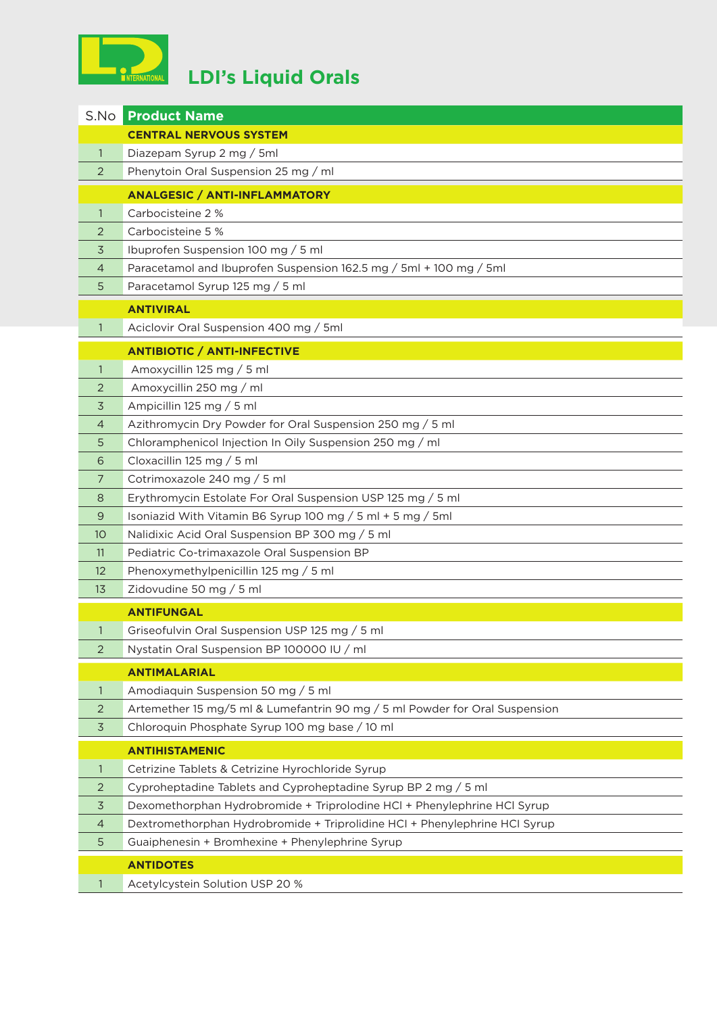

| S.No           | <b>Product Name</b>                                                         |
|----------------|-----------------------------------------------------------------------------|
|                | <b>CENTRAL NERVOUS SYSTEM</b>                                               |
| $\mathbf{1}$   | Diazepam Syrup 2 mg / 5ml                                                   |
| 2              | Phenytoin Oral Suspension 25 mg / ml                                        |
|                | <b>ANALGESIC / ANTI-INFLAMMATORY</b>                                        |
| $\mathbf{1}$   | Carbocisteine 2 %                                                           |
| 2              | Carbocisteine 5 %                                                           |
| 3              | Ibuprofen Suspension 100 mg / 5 ml                                          |
| 4              | Paracetamol and Ibuprofen Suspension 162.5 mg / 5ml + 100 mg / 5ml          |
| 5              | Paracetamol Syrup 125 mg / 5 ml                                             |
|                | <b>ANTIVIRAL</b>                                                            |
| 1              | Aciclovir Oral Suspension 400 mg / 5ml                                      |
|                | <b>ANTIBIOTIC / ANTI-INFECTIVE</b>                                          |
| $\mathbf{1}$   | Amoxycillin 125 mg / 5 ml                                                   |
| 2              | Amoxycillin 250 mg / ml                                                     |
| 3              | Ampicillin 125 mg / 5 ml                                                    |
| $\overline{4}$ | Azithromycin Dry Powder for Oral Suspension 250 mg / 5 ml                   |
| 5              | Chloramphenicol Injection In Oily Suspension 250 mg / ml                    |
| 6              | Cloxacillin 125 mg / 5 ml                                                   |
| $\overline{7}$ | Cotrimoxazole 240 mg / 5 ml                                                 |
| 8              | Erythromycin Estolate For Oral Suspension USP 125 mg / 5 ml                 |
| 9              | Isoniazid With Vitamin B6 Syrup 100 mg / 5 ml + 5 mg / 5ml                  |
| 10             | Nalidixic Acid Oral Suspension BP 300 mg / 5 ml                             |
| 11             | Pediatric Co-trimaxazole Oral Suspension BP                                 |
| 12             | Phenoxymethylpenicillin 125 mg / 5 ml                                       |
| 13             | Zidovudine 50 mg / 5 ml                                                     |
|                | <b>ANTIFUNGAL</b>                                                           |
|                | Griseofulvin Oral Suspension USP 125 mg / 5 ml                              |
| $\overline{2}$ | Nystatin Oral Suspension BP 100000 IU / ml                                  |
|                | <b>ANTIMALARIAL</b>                                                         |
| $\mathbf{1}$   | Amodiaquin Suspension 50 mg / 5 ml                                          |
| 2              | Artemether 15 mg/5 ml & Lumefantrin 90 mg / 5 ml Powder for Oral Suspension |
| $\overline{3}$ | Chloroquin Phosphate Syrup 100 mg base / 10 ml                              |
|                | <b>ANTIHISTAMENIC</b>                                                       |
| 1              | Cetrizine Tablets & Cetrizine Hyrochloride Syrup                            |
| 2              | Cyproheptadine Tablets and Cyproheptadine Syrup BP 2 mg / 5 ml              |
| $\overline{3}$ | Dexomethorphan Hydrobromide + Triprolodine HCl + Phenylephrine HCl Syrup    |
| 4              | Dextromethorphan Hydrobromide + Triprolidine HCl + Phenylephrine HCl Syrup  |
| 5              | Guaiphenesin + Bromhexine + Phenylephrine Syrup                             |
|                | <b>ANTIDOTES</b>                                                            |
|                | Acetylcystein Solution USP 20 %                                             |